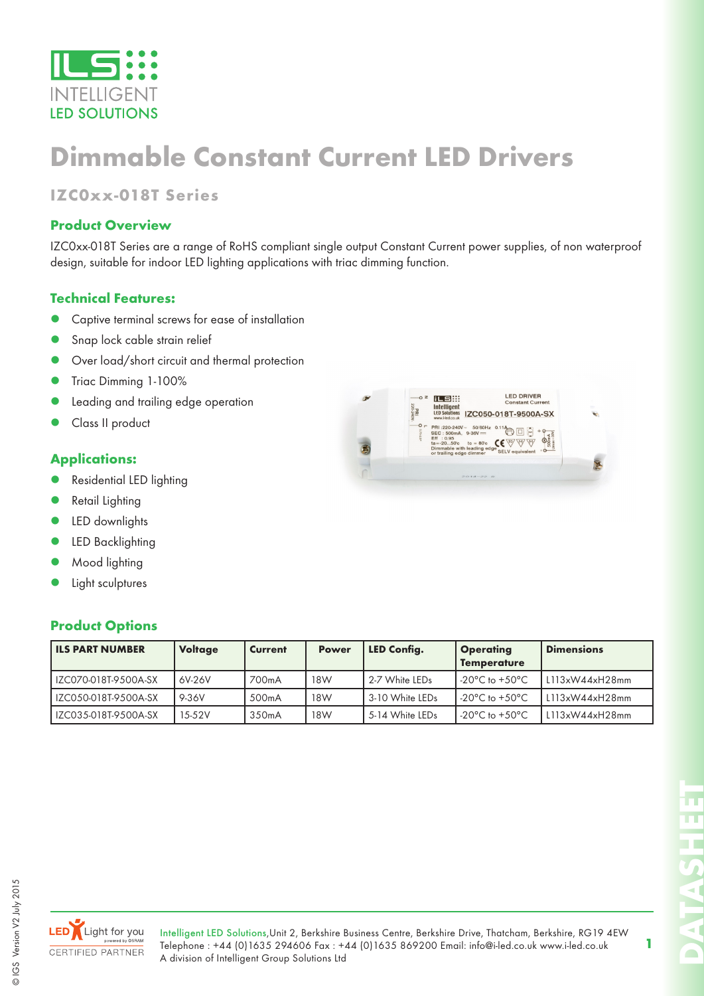

## **Dimmable Constant Current LED Drivers**

## **IZC0xx-018T Series**

### **Product Overview**

IZC0xx-018T Series are a range of RoHS compliant single output Constant Current power supplies, of non waterproof design, suitable for indoor LED lighting applications with triac dimming function.

### **Technical Features:**

- Captive terminal screws for ease of installation
- Snap lock cable strain relief
- Over load/short circuit and thermal protection
- z Triac Dimming 1-100%
- Leading and trailing edge operation
- Class II product

#### **Applications:**

- Residential LED lighting
- Retail Lighting
- LED downlights
- LED Backlighting
- Mood lighting
- Light sculptures

#### **Product Options**

|  | <b>LED DRIVER</b><br>z<br>iLS #<br>$\circ$<br><b>Constant Current</b><br>Intelligent                                                                                                                                   |  |
|--|------------------------------------------------------------------------------------------------------------------------------------------------------------------------------------------------------------------------|--|
|  | PRI<br>220-240V-<br><b>LED Solutions</b><br>IZC050-018T-9500A-SX<br>www.i-led.co.uk                                                                                                                                    |  |
|  | $O -$<br>PRI:220-240V~ 50/60Hz 0.11A<br>0.75-2.5<br>SEC: 500mA, 9-36V ==<br>Eff : 0.95<br>OΚ<br>$ta = -2050c$<br>$tc = 80^{\circ}c$<br>Dimmable with leading edge<br><b>SELV equivalent</b><br>or trailing edge dimmer |  |
|  |                                                                                                                                                                                                                        |  |
|  | $2014 - 22.0$                                                                                                                                                                                                          |  |

| <b>ILS PART NUMBER</b> | <b>Voltage</b> | <b>Current</b>     | <b>Power</b> | LED Config.     | <b>Operating</b><br><b>Temperature</b> | <b>Dimensions</b> |
|------------------------|----------------|--------------------|--------------|-----------------|----------------------------------------|-------------------|
| IZC070-018T-9500A-SX   | 6V-26V         | 700mA              | 18W          | 2-7 White LEDs  | -20 $^{\circ}$ C to +50 $^{\circ}$ C   | L113xW44xH28mm    |
| IZC050-018T-9500A-SX   | 9-36V          | 500 <sub>m</sub> A | 18W          | 3-10 White LEDs | -20 $^{\circ}$ C to +50 $^{\circ}$ C   | L113xW44xH28mm    |
| IZC035-018T-9500A-SX   | 15-52V         | 350 <sub>m</sub> A | 18W          | 5-14 White LEDs | -20 $^{\circ}$ C to +50 $^{\circ}$ C   | L113xW44xH28mm    |



Intelligent LED Solutions,Unit 2, Berkshire Business Centre, Berkshire Drive, Thatcham, Berkshire, RG19 4EW Telephone : +44 (0)1635 294606 Fax : +44 (0)1635 869200 Email: info@i-led.co.uk www.i-led.co.uk A division of Intelligent Group Solutions Ltd

**DATASHEET**

**1**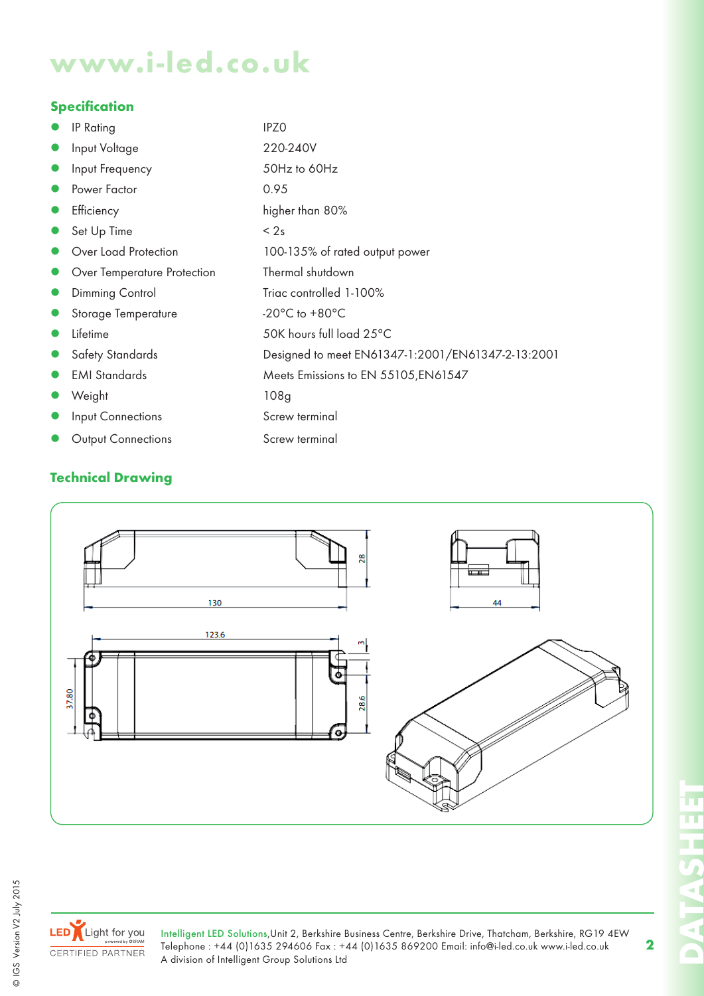# **www.i-led.co.uk**

### **Specification**

|           | <b>IP Rating</b>            | <b>IPZO</b>                                       |
|-----------|-----------------------------|---------------------------------------------------|
| $\bullet$ | Input Voltage               | 220-240V                                          |
| $\bullet$ | Input Frequency             | 50Hz to 60Hz                                      |
| $\bullet$ | Power Factor                | 0.95                                              |
| $\bullet$ | Efficiency                  | higher than 80%                                   |
|           | Set Up Time                 | < 2s                                              |
|           | Over Load Protection        | 100-135% of rated output power                    |
|           | Over Temperature Protection | Thermal shutdown                                  |
| $\bullet$ | Dimming Control             | Triac controlled 1-100%                           |
|           | Storage Temperature         | -20 $^{\circ}$ C to +80 $^{\circ}$ C              |
|           | Lifetime                    | 50K hours full load 25°C                          |
|           | <b>Safety Standards</b>     | Designed to meet EN61347-1:2001/EN61347-2-13:2001 |
| $\bullet$ | <b>EMI</b> Standards        | Meets Emissions to EN 55105, EN61547              |
|           | Weight                      | 108 <sub>g</sub>                                  |
|           | Input Connections           | Screw terminal                                    |
|           | <b>Output Connections</b>   | Screw terminal                                    |

## **Technical Drawing**





© IGS Version V2 July 2015

© IGS Version V2 July 2015

Intelligent LED Solutions,Unit 2, Berkshire Business Centre, Berkshire Drive, Thatcham, Berkshire, RG19 4EW Telephone : +44 (0)1635 294606 Fax : +44 (0)1635 869200 Email: info@i-led.co.uk www.i-led.co.uk A division of Intelligent Group Solutions Ltd

**DATASHEET** π n T. **PARTIES** 

**2**